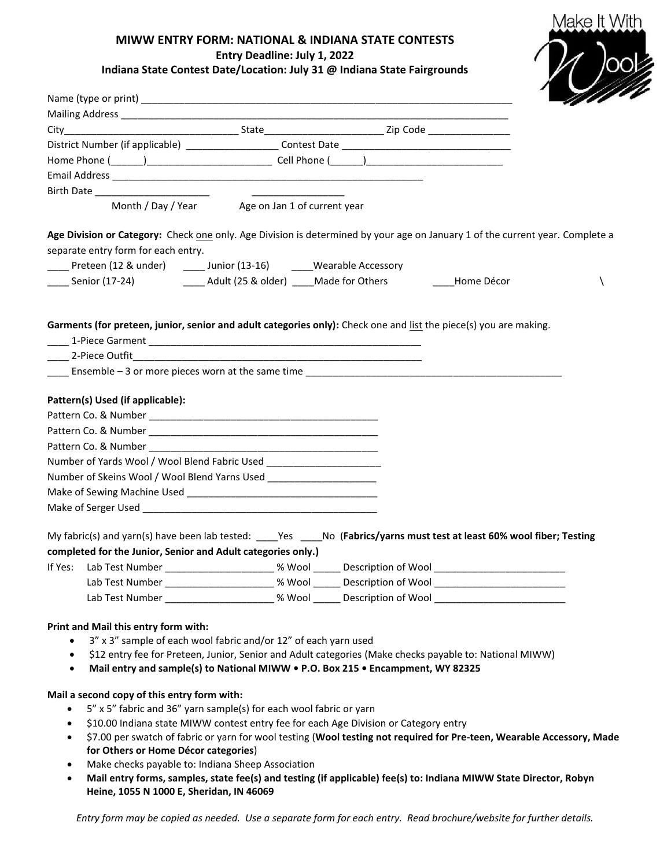## **MIWW ENTRY FORM: NATIONAL & INDIANA STATE CONTESTS Entry Deadline: July 1, 2022 Indiana State Contest Date/Location: July 31 @ Indiana State Fairgrounds**



|           |                                                                                                                   |                                                 | 111 C                                                                                                                         |  |
|-----------|-------------------------------------------------------------------------------------------------------------------|-------------------------------------------------|-------------------------------------------------------------------------------------------------------------------------------|--|
|           |                                                                                                                   |                                                 |                                                                                                                               |  |
|           |                                                                                                                   |                                                 |                                                                                                                               |  |
|           | District Number (if applicable) _____________________Contest Date __________________________________              |                                                 |                                                                                                                               |  |
|           |                                                                                                                   |                                                 |                                                                                                                               |  |
|           |                                                                                                                   |                                                 |                                                                                                                               |  |
|           |                                                                                                                   |                                                 |                                                                                                                               |  |
|           |                                                                                                                   | Month / Day / Year Age on Jan 1 of current year |                                                                                                                               |  |
|           |                                                                                                                   |                                                 | Age Division or Category: Check one only. Age Division is determined by your age on January 1 of the current year. Complete a |  |
|           | separate entry form for each entry.                                                                               |                                                 |                                                                                                                               |  |
|           | Preteen (12 & under) _______ Junior (13-16) _______ Wearable Accessory                                            |                                                 |                                                                                                                               |  |
|           | _____ Senior (17-24) ___________________Adult (25 & older) ______Made for Others _____________Home Décor          |                                                 |                                                                                                                               |  |
|           | Garments (for preteen, junior, senior and adult categories only): Check one and list the piece(s) you are making. |                                                 |                                                                                                                               |  |
|           |                                                                                                                   |                                                 |                                                                                                                               |  |
|           |                                                                                                                   |                                                 |                                                                                                                               |  |
|           | Ensemble - 3 or more pieces worn at the same time _______________________________                                 |                                                 |                                                                                                                               |  |
|           |                                                                                                                   |                                                 |                                                                                                                               |  |
|           | Pattern(s) Used (if applicable):                                                                                  |                                                 |                                                                                                                               |  |
|           |                                                                                                                   |                                                 |                                                                                                                               |  |
|           |                                                                                                                   |                                                 |                                                                                                                               |  |
|           |                                                                                                                   |                                                 |                                                                                                                               |  |
|           | Number of Yards Wool / Wool Blend Fabric Used __________________________________                                  |                                                 |                                                                                                                               |  |
|           | Number of Skeins Wool / Wool Blend Yarns Used ______________________                                              |                                                 |                                                                                                                               |  |
|           |                                                                                                                   |                                                 |                                                                                                                               |  |
|           |                                                                                                                   |                                                 |                                                                                                                               |  |
|           |                                                                                                                   |                                                 |                                                                                                                               |  |
|           |                                                                                                                   |                                                 | My fabric(s) and yarn(s) have been lab tested: ____Yes ____No (Fabrics/yarns must test at least 60% wool fiber; Testing       |  |
|           | completed for the Junior, Senior and Adult categories only.)                                                      |                                                 |                                                                                                                               |  |
|           |                                                                                                                   |                                                 | If Yes: Lab Test Number ______________________ % Wool ______ Description of Wool _________________________                    |  |
|           | Lab Test Number _________________________% Wool _______ Description of Wool ____________                          |                                                 |                                                                                                                               |  |
|           |                                                                                                                   |                                                 | Lab Test Number _____________________% Wool ______ Description of Wool _________                                              |  |
|           |                                                                                                                   |                                                 |                                                                                                                               |  |
|           | Print and Mail this entry form with:                                                                              |                                                 |                                                                                                                               |  |
|           | 3" x 3" sample of each wool fabric and/or 12" of each yarn used                                                   |                                                 |                                                                                                                               |  |
| $\bullet$ |                                                                                                                   |                                                 | \$12 entry fee for Preteen, Junior, Senior and Adult categories (Make checks payable to: National MIWW)                       |  |
| $\bullet$ | Mail entry and sample(s) to National MIWW • P.O. Box 215 • Encampment, WY 82325                                   |                                                 |                                                                                                                               |  |
|           |                                                                                                                   |                                                 |                                                                                                                               |  |
|           | Mail a second copy of this entry form with:                                                                       |                                                 |                                                                                                                               |  |
|           | 5" x 5" fabric and 36" yarn sample(s) for each wool fabric or yarn                                                |                                                 |                                                                                                                               |  |
| ٠         | \$10.00 Indiana state MIWW contest entry fee for each Age Division or Category entry                              |                                                 | \$7.00 per swatch of fabric or yarn for wool testing (Wool testing not required for Pre-teen, Wearable Accessory, Made        |  |
|           | for Others or Home Décor categories)                                                                              |                                                 |                                                                                                                               |  |
| $\bullet$ | Make checks payable to: Indiana Sheep Association                                                                 |                                                 |                                                                                                                               |  |
| $\bullet$ |                                                                                                                   |                                                 | Mail entry forms, samples, state fee(s) and testing (if applicable) fee(s) to: Indiana MIWW State Director, Robyn             |  |
|           | Heine, 1055 N 1000 E, Sheridan, IN 46069                                                                          |                                                 |                                                                                                                               |  |

*Entry form may be copied as needed. Use a separate form for each entry. Read brochure/website for further details.*